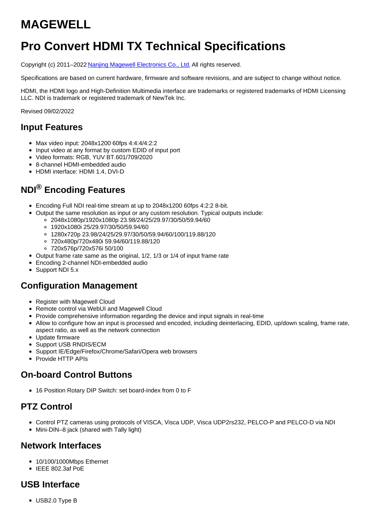# **MAGEWELL**

# **Pro Convert HDMI TX Technical Specifications**

Copyright (c) 2011–2022 Nanjing Magewell [Electronics](http://www.magewell.com) Co., Ltd. All rights reserved.

Specifications are based on current hardware, firmware and software revisions, and are subject to change without notice.

HDMI, the HDMI logo and High-Definition Multimedia interface are trademarks or registered trademarks of HDMI Licensing LLC. NDI is trademark or registered trademark of NewTek Inc.

Revised 09/02/2022

#### **Input Features**

- Max video input: 2048x1200 60fps 4:4:4/4:2:2
- Input video at any format by custom EDID of input port
- Video formats: RGB, YUV BT.601/709/2020
- 8-channel HDMI-embedded audio
- HDMI interface: HDMI 1.4, DVI-D

# **NDI® Encoding Features**

- Encoding Full NDI real-time stream at up to 2048x1200 60fps 4:2:2 8-bit.
- Output the same resolution as input or any custom resolution. Typical outputs include:
	- 2048x1080p/1920x1080p 23.98/24/25/29.97/30/50/59.94/60
	- 1920x1080i 25/29.97/30/50/59.94/60
	- 1280x720p 23.98/24/25/29.97/30/50/59.94/60/100/119.88/120
	- 720x480p/720x480i 59.94/60/119.88/120
	- 720x576p/720x576i 50/100
- Output frame rate same as the original, 1/2, 1/3 or 1/4 of input frame rate
- Encoding 2-channel NDI-embedded audio
- Support NDI 5.x

#### **Configuration Management**

- Register with Magewell Cloud
- Remote control via WebUI and Magewell Cloud
- Provide comprehensive information regarding the device and input signals in real-time
- Allow to configure how an input is processed and encoded, including deinterlacing, EDID, up/down scaling, frame rate, aspect ratio, as well as the network connection
- Update firmware
- Support USB RNDIS/ECM
- Support IE/Edge/Firefox/Chrome/Safari/Opera web browsers
- Provide HTTP APIs

#### **On-board Control Buttons**

16 Position Rotary DIP Switch: set board-index from 0 to F

### **PTZ Control**

- Control PTZ cameras using protocols of VISCA, Visca UDP, Visca UDP2rs232, PELCO-P and PELCO-D via NDI
- Mini-DIN–8 jack (shared with Tally light)

#### **Network Interfaces**

- 10/100/1000Mbps Ethernet
- $\bullet$  IEEE 802.3af PoE

#### **USB Interface**

USB2.0 Type B